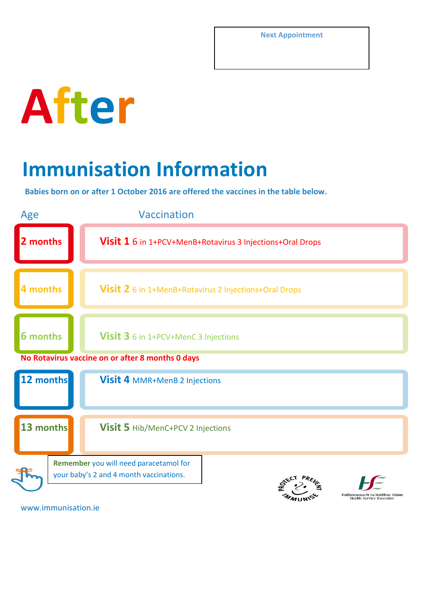

## **Immunisation Information**

**Babies born on or after 1 October 2016 are offered the vaccines in the table below.**